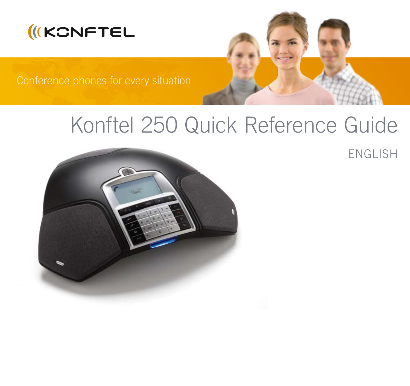



Conference phones for every situation

# Konftel 250 Quick Reference Guide



ENGLISH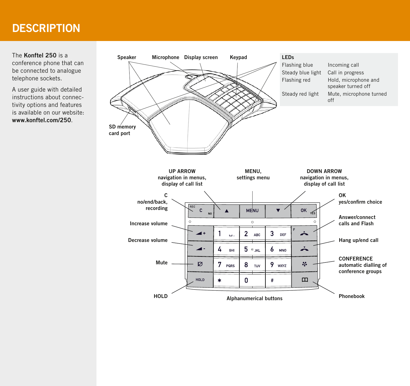## **DESCRIPTION**

The Konftel 250 is a conference phone that can be connected to analogue telephone sockets.

A user guide with detailed instructions about connectivity options and features is available on our website: www.konftel.com/250.

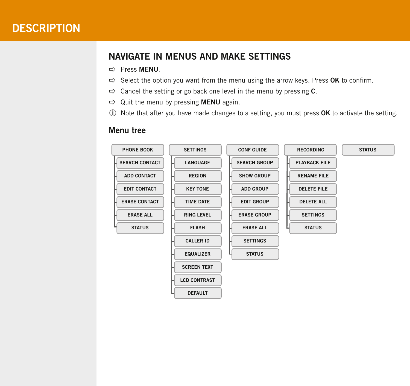## **DESCRIPTION**

## Navigate in menus and make settings

- **⇒ Press MFNU**
- $\Rightarrow$  Select the option you want from the menu using the arrow keys. Press OK to confirm.
- $\Rightarrow$  Cancel the setting or go back one level in the menu by pressing C.
- $\Rightarrow$  Quit the menu by pressing **MENU** again.
- $\circled{1}$  Note that after you have made changes to a setting, you must press **OK** to activate the setting.

#### Menu tree

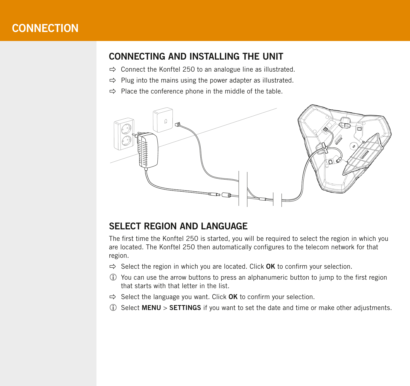## **CONNECTION**

## Connecting and installing the unit

- $\Rightarrow$  Connect the Konftel 250 to an analogue line as illustrated.
- $\Rightarrow$  Plug into the mains using the power adapter as illustrated.
- $\Rightarrow$  Place the conference phone in the middle of the table.



#### Select region and language

The first time the Konftel 250 is started, you will be required to select the region in which you are located. The Konftel 250 then automatically configures to the telecom network for that region.

- $\Rightarrow$  Select the region in which you are located. Click **OK** to confirm your selection.
- You can use the arrow buttons to press an alphanumeric button to jump to the first region that starts with that letter in the list.
- $\Rightarrow$  Select the language you want. Click OK to confirm your selection.
- Select MENU > SETTINGS if you want to set the date and time or make other adjustments.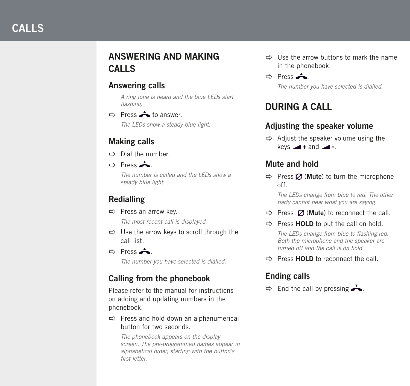## Answering and making calls

#### Answering calls

*A ring tone is heard and the blue LEDs start flashing.*

 $\Rightarrow$  Press  $\triangle$  to answer. *The LEDs show a steady blue light.*

## Making calls

- $\Rightarrow$  Dial the number.
- $Arr$  Press  $\triangle$ .

*The number is called and the LEDs show a steady blue light.* 

## Redialling

 $\Rightarrow$  Press an arrow key.

*The most recent call is displayed.*

- $\Rightarrow$  Use the arrow keys to scroll through the call list.
- $Arr$  Press  $\triangle$ .

*The number you have selected is dialled.* 

## Calling from the phonebook

Please refer to the manual for instructions on adding and updating numbers in the phonebook.

 $\Rightarrow$  Press and hold down an alphanumerical button for two seconds.

*The phonebook appears on the display screen. The pre-programmed names appear in alphabetical order, starting with the button's first letter.* 

- $\Rightarrow$  I lse the arrow buttons to mark the name in the phonebook.
- $Arr$  Press  $\triangle$ .

*The number you have selected is dialled.*

## During a call

## Adjusting the speaker volume

 $\Rightarrow$  Adjust the speaker volume using the keys  $\blacktriangleleft$  + and  $\blacktriangleleft$  -.

## Mute and hold

 $\Rightarrow$  Press  $\oslash$  (Mute) to turn the microphone off.

*The LEDs change from blue to red. The other party cannot hear what you are saying.* 

- $\Rightarrow$  Press  $\varnothing$  (Mute) to reconnect the call.
- $\Rightarrow$  Press HOLD to put the call on hold.

*The LEDs change from blue to flashing red. Both the microphone and the speaker are turned off and the call is on hold.* 

 $\Rightarrow$  Press HOLD to reconnect the call.

## Ending calls

 $\Rightarrow$  End the call by pressing  $\rightarrow$ .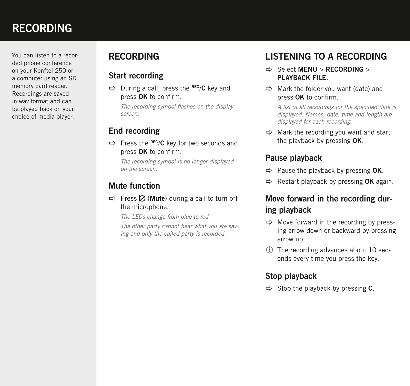## **RECORDING**

You can listen to a recorded phone conference on your Konftel 250 or a computer using an SD memory card reader. Recordings are saved in wav format and can be played back on your choice of media player.

## **RECORDING**

#### Start recording

 $\Rightarrow$  During a call, press the REC/C key and press OK to confirm.

*The recording symbol flashes on the display screen.*

## End recording

 $\Rightarrow$  Press the REC/C key for two seconds and press OK to confirm.

*The recording symbol is no longer displayed on the screen.*

## Mute function

 $\Rightarrow$  Press  $\oslash$  (Mute) during a call to turn off the microphone.

*The LEDs change from blue to red.* 

*The other party cannot hear what you are saying and only the called party is recorded.*

## Listening to a recording

- $\Rightarrow$  Select MENU > RECORDING > PLAYBACK FILE.
- $\Rightarrow$  Mark the folder you want (date) and press OK to confirm.

*A list of all recordings for the specified date is displayed. Names, date, time and length are displayed for each recording.* 

 $\Rightarrow$  Mark the recording you want and start the playback by pressing OK.

## Pause playback

- $\Rightarrow$  Pause the playback by pressing OK.
- $\Rightarrow$  Restart playback by pressing OK again.

## Move forward in the recording during playback

- $\Rightarrow$  Move forward in the recording by pressing arrow down or backward by pressing arrow up.
- The recording advances about 10 seconds every time you press the key.

## Stop playback

 $\Rightarrow$  Stop the playback by pressing C.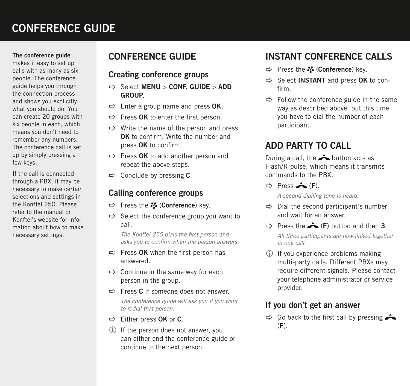## conference guide

#### The conference guide

makes it easy to set up calls with as many as six people. The conference guide helps you through the connection process and shows you explicitly what you should do. You can create 20 groups with six people in each, which means you don't need to remember any numbers. The conference call is set up by simply pressing a few keys.

If the call is connected through a PBX, it may be necessary to make certain selections and settings in the Konftel 250. Please refer to the manual or Konftel's website for information about how to make necessary settings.

## Conference guide

#### Creating conference groups

- $\Rightarrow$  Select MENU > CONF. GUIDE > ADD GROUP.
- $\Rightarrow$  Enter a group name and press OK.
- $\Rightarrow$  Press OK to enter the first person.
- $\Rightarrow$  Write the name of the person and press OK to confirm. Write the number and press OK to confirm.
- $\Rightarrow$  Press OK to add another person and repeat the above steps.
- $\Rightarrow$  Conclude by pressing C.

#### Calling conference groups

- $\Rightarrow$  Press the  $\clubsuit$  (Conference) key.
- $\Rightarrow$  Select the conference group you want to call.

*The Konftel 250 dials the first person and asks you to confirm when the person answers.* 

- $\Rightarrow$  Press OK when the first person has answered.
- $\Rightarrow$  Continue in the same way for each person in the group.
- $\Rightarrow$  Press C if someone does not answer.

*The conference guide will ask you if you want to redial that person.* 

- $\Rightarrow$  Either press OK or C.
- If the person does not answer, you can either end the conference guide or continue to the next person.

## INSTANT conference calls

- $\Rightarrow$  Press the  $\clubsuit$  (Conference) key.
- $\Rightarrow$  Select INSTANT and press OK to confirm.
- $\Rightarrow$  Follow the conference guide in the same way as described above, but this time you have to dial the number of each participant.

## Add party to call

During a call, the  $\rightarrow$  button acts as Flash/R-pulse, which means it transmits commands to the PBX.

 $\Rightarrow$  Press  $\triangle$  (F).

*A second dialling tone is heard.* 

- $\Rightarrow$  Dial the second participant's number and wait for an answer.
- $\Rightarrow$  Press the  $\triangle$  (F) button and then 3.

*All three participants are now linked together in one call.*

 If you experience problems making multi-party calls: Different PBXs may require different signals. Please contact your telephone administrator or service provider.

#### If you don't get an answer

 $\Rightarrow$  Go back to the first call by pressing  $\triangle$  $(F)$ .